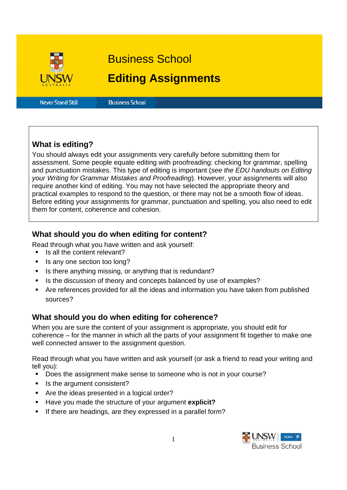

Business School

# **Editing Assignments**

**Never Stand Still** 

**Business School** 

# **What is editing?**

You should always edit your assignments very carefully before submitting them for assessment. Some people equate editing with proofreading: checking for grammar, spelling and punctuation mistakes. This type of editing is important (*see the EDU handouts on Editing your Writing for Grammar Mistakes and Proofreading*). However, your assignments will also require another kind of editing. You may not have selected the appropriate theory and practical examples to respond to the question, or there may not be a smooth flow of ideas. Before editing your assignments for grammar, punctuation and spelling, you also need to edit them for content, coherence and cohesion.

# **What should you do when editing for content?**

Read through what you have written and ask yourself:

- Is all the content relevant?
- Is any one section too long?
- Is there anything missing, or anything that is redundant?
- Is the discussion of theory and concepts balanced by use of examples?
- Are references provided for all the ideas and information you have taken from published sources?

# **What should you do when editing for coherence?**

When you are sure the content of your assignment is appropriate, you should edit for coherence – for the manner in which all the parts of your assignment fit together to make one well connected answer to the assignment question.

Read through what you have written and ask yourself (or ask a friend to read your writing and tell you):

- Does the assignment make sense to someone who is not in your course?
- Is the argument consistent?
- Are the ideas presented in a logical order?
- Have you made the structure of your argument **explicit?**
- If there are headings, are they expressed in a parallel form?

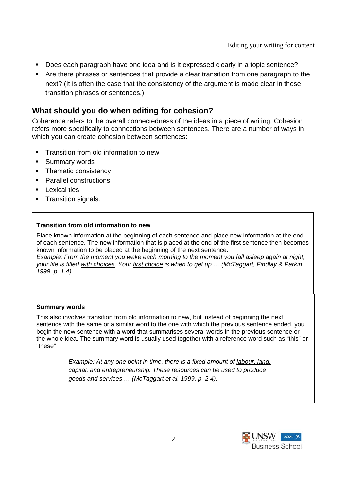- Does each paragraph have one idea and is it expressed clearly in a topic sentence?
- Are there phrases or sentences that provide a clear transition from one paragraph to the next? (It is often the case that the consistency of the argument is made clear in these transition phrases or sentences.)

# **What should you do when editing for cohesion?**

Coherence refers to the overall connectedness of the ideas in a piece of writing. Cohesion refers more specifically to connections between sentences. There are a number of ways in which you can create cohesion between sentences:

- **Transition from old information to new**
- **Summary words**
- Thematic consistency
- **Parallel constructions**
- $\blacksquare$  Lexical ties
- **Transition signals.**

### **Transition from old information to new**

Place known information at the beginning of each sentence and place new information at the end of each sentence. The new information that is placed at the end of the first sentence then becomes known information to be placed at the beginning of the next sentence.

*Example: From the moment you wake each morning to the moment you fall asleep again at night, your life is filled with choices. Your first choice is when to get up … (McTaggart, Findlay & Parkin 1999, p. 1.4).* 

#### **Summary words**

This also involves transition from old information to new, but instead of beginning the next sentence with the same or a similar word to the one with which the previous sentence ended, you begin the new sentence with a word that summarises several words in the previous sentence or the whole idea. The summary word is usually used together with a reference word such as "this" or "these"

> *Example: At any one point in time, there is a fixed amount of labour, land, capital, and entrepreneurship. These resources can be used to produce goods and services … (McTaggart et al. 1999, p. 2.4).*

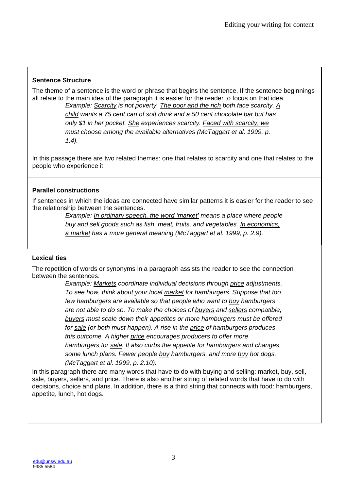### **Sentence Structure**

The theme of a sentence is the word or phrase that begins the sentence. If the sentence beginnings all relate to the main idea of the paragraph it is easier for the reader to focus on that idea.

*Example: Scarcity is not poverty. The poor and the rich both face scarcity. A child wants a 75 cent can of soft drink and a 50 cent chocolate bar but has only \$1 in her pocket. She experiences scarcity. Faced with scarcity, we must choose among the available alternatives (McTaggart et al. 1999, p. 1.4).* 

In this passage there are two related themes: one that relates to scarcity and one that relates to the people who experience it.

## **Parallel constructions**

If sentences in which the ideas are connected have similar patterns it is easier for the reader to see the relationship between the sentences.

*Example: In ordinary speech, the word 'market' means a place where people buy and sell goods such as fish, meat, fruits, and vegetables. In economics, a market has a more general meaning (McTaggart et al. 1999, p. 2.9).* 

### **Lexical ties**

The repetition of words or synonyms in a paragraph assists the reader to see the connection between the sentences.

*Example: Markets coordinate individual decisions through price adjustments. To see how, think about your local market for hamburgers. Suppose that too few hamburgers are available so that people who want to buy hamburgers are not able to do so. To make the choices of buyers and sellers compatible, buyers must scale down their appetites or more hamburgers must be offered for sale (or both must happen). A rise in the price of hamburgers produces this outcome. A higher price encourages producers to offer more hamburgers for sale. It also curbs the appetite for hamburgers and changes some lunch plans. Fewer people buy hamburgers, and more buy hot dogs. (McTaggart et al. 1999, p. 2.10).* 

In this paragraph there are many words that have to do with buying and selling: market, buy, sell, sale, buyers, sellers, and price. There is also another string of related words that have to do with decisions, choice and plans. In addition, there is a third string that connects with food: hamburgers, appetite, lunch, hot dogs.